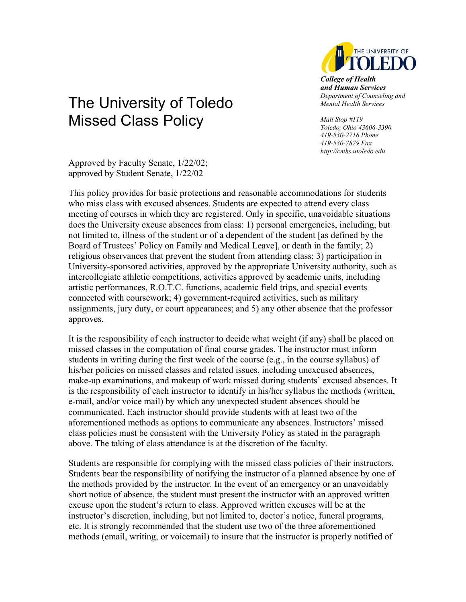

*College of Health and Human Services Department of Counseling and Mental Health Services* 

*Mail Stop #119 Toledo, Ohio 43606-3390 419-530-2718 Phone 419-530-7879 Fax http://cmhs.utoledo.edu* 

## The University of Toledo Missed Class Policy

Approved by Faculty Senate, 1/22/02; approved by Student Senate, 1/22/02

This policy provides for basic protections and reasonable accommodations for students who miss class with excused absences. Students are expected to attend every class meeting of courses in which they are registered. Only in specific, unavoidable situations does the University excuse absences from class: 1) personal emergencies, including, but not limited to, illness of the student or of a dependent of the student [as defined by the Board of Trustees' Policy on Family and Medical Leave], or death in the family; 2) religious observances that prevent the student from attending class; 3) participation in University-sponsored activities, approved by the appropriate University authority, such as intercollegiate athletic competitions, activities approved by academic units, including artistic performances, R.O.T.C. functions, academic field trips, and special events connected with coursework; 4) government-required activities, such as military assignments, jury duty, or court appearances; and 5) any other absence that the professor approves.

It is the responsibility of each instructor to decide what weight (if any) shall be placed on missed classes in the computation of final course grades. The instructor must inform students in writing during the first week of the course (e.g., in the course syllabus) of his/her policies on missed classes and related issues, including unexcused absences, make-up examinations, and makeup of work missed during students' excused absences. It is the responsibility of each instructor to identify in his/her syllabus the methods (written, e-mail, and/or voice mail) by which any unexpected student absences should be communicated. Each instructor should provide students with at least two of the aforementioned methods as options to communicate any absences. Instructors' missed class policies must be consistent with the University Policy as stated in the paragraph above. The taking of class attendance is at the discretion of the faculty.

Students are responsible for complying with the missed class policies of their instructors. Students bear the responsibility of notifying the instructor of a planned absence by one of the methods provided by the instructor. In the event of an emergency or an unavoidably short notice of absence, the student must present the instructor with an approved written excuse upon the student's return to class. Approved written excuses will be at the instructor's discretion, including, but not limited to, doctor's notice, funeral programs, etc. It is strongly recommended that the student use two of the three aforementioned methods (email, writing, or voicemail) to insure that the instructor is properly notified of